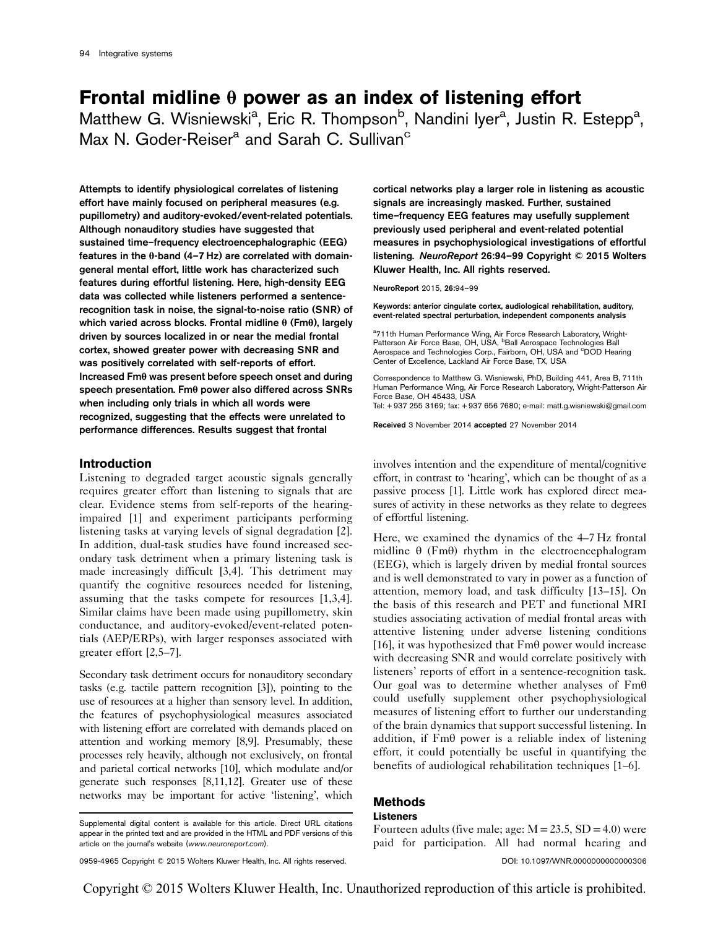# Frontal midline  $\theta$  power as an index of listening effort

Matthew G. Wisniewski<sup>a</sup>, Eric R. Thompson<sup>b</sup>, Nandini Iyer<sup>a</sup>, Justin R. Estepp<sup>a</sup>, Max N. Goder-Reiser<sup>a</sup> and Sarah C. Sullivan<sup>c</sup>

Attempts to identify physiological correlates of listening effort have mainly focused on peripheral measures (e.g. pupillometry) and auditory-evoked/event-related potentials. Although nonauditory studies have suggested that sustained time–frequency electroencephalographic (EEG) features in the θ-band (4–7 Hz) are correlated with domaingeneral mental effort, little work has characterized such features during effortful listening. Here, high-density EEG data was collected while listeners performed a sentencerecognition task in noise, the signal-to-noise ratio (SNR) of which varied across blocks. Frontal midline θ (Fmθ), largely driven by sources localized in or near the medial frontal cortex, showed greater power with decreasing SNR and was positively correlated with self-reports of effort. Increased Fmθ was present before speech onset and during speech presentation. Fmθ power also differed across SNRs when including only trials in which all words were recognized, suggesting that the effects were unrelated to performance differences. Results suggest that frontal

# Introduction

Listening to degraded target acoustic signals generally requires greater effort than listening to signals that are clear. Evidence stems from self-reports of the hearingimpaired [1] and experiment participants performing listening tasks at varying levels of signal degradation [2]. In addition, dual-task studies have found increased secondary task detriment when a primary listening task is made increasingly difficult [3,4]. This detriment may quantify the cognitive resources needed for listening, assuming that the tasks compete for resources [1,3,4]. Similar claims have been made using pupillometry, skin conductance, and auditory-evoked/event-related potentials (AEP/ERPs), with larger responses associated with greater effort [2,5–7].

Secondary task detriment occurs for nonauditory secondary tasks (e.g. tactile pattern recognition [3]), pointing to the use of resources at a higher than sensory level. In addition, the features of psychophysiological measures associated with listening effort are correlated with demands placed on attention and working memory [8,9]. Presumably, these processes rely heavily, although not exclusively, on frontal and parietal cortical networks [10], which modulate and/or generate such responses [8,11,12]. Greater use of these networks may be important for active 'listening', which cortical networks play a larger role in listening as acoustic signals are increasingly masked. Further, sustained time–frequency EEG features may usefully supplement previously used peripheral and event-related potential measures in psychophysiological investigations of effortful listening. NeuroReport 26:94–99 Copyright © 2015 Wolters Kluwer Health, Inc. All rights reserved.

NeuroReport 2015, 26:94–99

Keywords: anterior cingulate cortex, audiological rehabilitation, auditory, event-related spectral perturbation, independent components analysis

<sup>a</sup>711th Human Performance Wing, Air Force Research Laboratory, Wright-<br>Patterson Air Force Base, OH, USA, <sup>b</sup>Ball Aerospace Technologies Ball Aerospace and Technologies Corp., Fairborn, OH, USA and <sup>c</sup>DOD Hearing Center of Excellence, Lackland Air Force Base, TX, USA

Correspondence to Matthew G. Wisniewski, PhD, Building 441, Area B, 711th Human Performance Wing, Air Force Research Laboratory, Wright-Patterson Air Force Base, OH 45433, USA

Tel: + 937 255 3169; fax: + 937 656 7680; e-mail: matt.g.wisniewski@gmail.com

Received 3 November 2014 accepted 27 November 2014

involves intention and the expenditure of mental/cognitive effort, in contrast to 'hearing', which can be thought of as a passive process [1]. Little work has explored direct measures of activity in these networks as they relate to degrees of effortful listening.

Here, we examined the dynamics of the 4–7 Hz frontal midline  $\theta$  (Fm $\theta$ ) rhythm in the electroencephalogram (EEG), which is largely driven by medial frontal sources and is well demonstrated to vary in power as a function of attention, memory load, and task difficulty [13–15]. On the basis of this research and PET and functional MRI studies associating activation of medial frontal areas with attentive listening under adverse listening conditions [16], it was hypothesized that Fmθ power would increase with decreasing SNR and would correlate positively with listeners' reports of effort in a sentence-recognition task. Our goal was to determine whether analyses of Fmθ could usefully supplement other psychophysiological measures of listening effort to further our understanding of the brain dynamics that support successful listening. In addition, if Fmθ power is a reliable index of listening effort, it could potentially be useful in quantifying the benefits of audiological rehabilitation techniques [1–6].

Fourteen adults (five male; age:  $M = 23.5$ ,  $SD = 4.0$ ) were

## Methods

#### Listeners

Copyright © 2015 Wolters Kluwer Health, Inc. Unauthorized reproduction of this article is prohibited.

Supplemental digital content is available for this article. Direct URL citations appear in the printed text and are provided in the HTML and PDF versions of this article on the journal's website (www.neuroreport.com).

paid for participation. All had normal hearing and 0959-4965 Copyright © 2015 Wolters Kluwer Health, Inc. All rights reserved. DOI: 10.1097/WNR.0000000000000306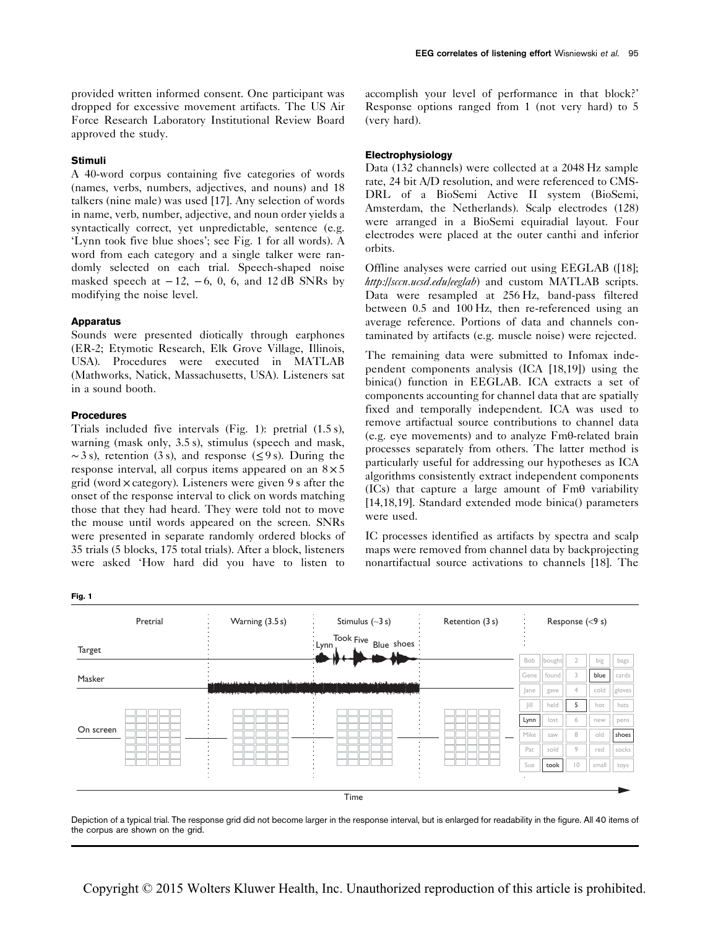## Stimuli

A 40-word corpus containing five categories of words (names, verbs, numbers, adjectives, and nouns) and 18 talkers (nine male) was used [17]. Any selection of words in name, verb, number, adjective, and noun order yields a syntactically correct, yet unpredictable, sentence (e.g. 'Lynn took five blue shoes'; see Fig. 1 for all words). A word from each category and a single talker were randomly selected on each trial. Speech-shaped noise masked speech at  $-12$ ,  $-6$ , 0, 6, and 12 dB SNRs by modifying the noise level.

### **Apparatus**

Sounds were presented diotically through earphones (ER-2; Etymotic Research, Elk Grove Village, Illinois, USA). Procedures were executed in MATLAB (Mathworks, Natick, Massachusetts, USA). Listeners sat in a sound booth.

#### Procedures

Trials included five intervals (Fig. 1): pretrial (1.5 s), warning (mask only, 3.5 s), stimulus (speech and mask,  $\sim$  3 s), retention (3 s), and response ( $\leq$ 9 s). During the response interval, all corpus items appeared on an  $8 \times 5$ grid (word × category). Listeners were given 9 s after the onset of the response interval to click on words matching those that they had heard. They were told not to move the mouse until words appeared on the screen. SNRs were presented in separate randomly ordered blocks of 35 trials (5 blocks, 175 total trials). After a block, listeners were asked 'How hard did you have to listen to

EEG correlates of listening effort Wisniewski et al. 95

accomplish your level of performance in that block?' Response options ranged from 1 (not very hard) to 5 (very hard).

# **Electrophysiology**

Data (132 channels) were collected at a 2048 Hz sample rate, 24 bit A/D resolution, and were referenced to CMS-DRL of a BioSemi Active II system (BioSemi, Amsterdam, the Netherlands). Scalp electrodes (128) were arranged in a BioSemi equiradial layout. Four electrodes were placed at the outer canthi and inferior orbits.

Offline analyses were carried out using EEGLAB ([18]; http://sccn.ucsd.edu/eeglab) and custom MATLAB scripts. Data were resampled at 256 Hz, band-pass filtered between 0.5 and 100 Hz, then re-referenced using an average reference. Portions of data and channels contaminated by artifacts (e.g. muscle noise) were rejected.

The remaining data were submitted to Infomax independent components analysis (ICA [18,19]) using the binica() function in EEGLAB. ICA extracts a set of components accounting for channel data that are spatially fixed and temporally independent. ICA was used to remove artifactual source contributions to channel data (e.g. eye movements) and to analyze Fmθ-related brain processes separately from others. The latter method is particularly useful for addressing our hypotheses as ICA algorithms consistently extract independent components (ICs) that capture a large amount of  $Fm\theta$  variability [14,18,19]. Standard extended mode binica() parameters were used.

IC processes identified as artifacts by spectra and scalp maps were removed from channel data by backprojecting nonartifactual source activations to channels [18]. The



Depiction of a typical trial. The response grid did not become larger in the response interval, but is enlarged for readability in the figure. All 40 items of the corpus are shown on the grid.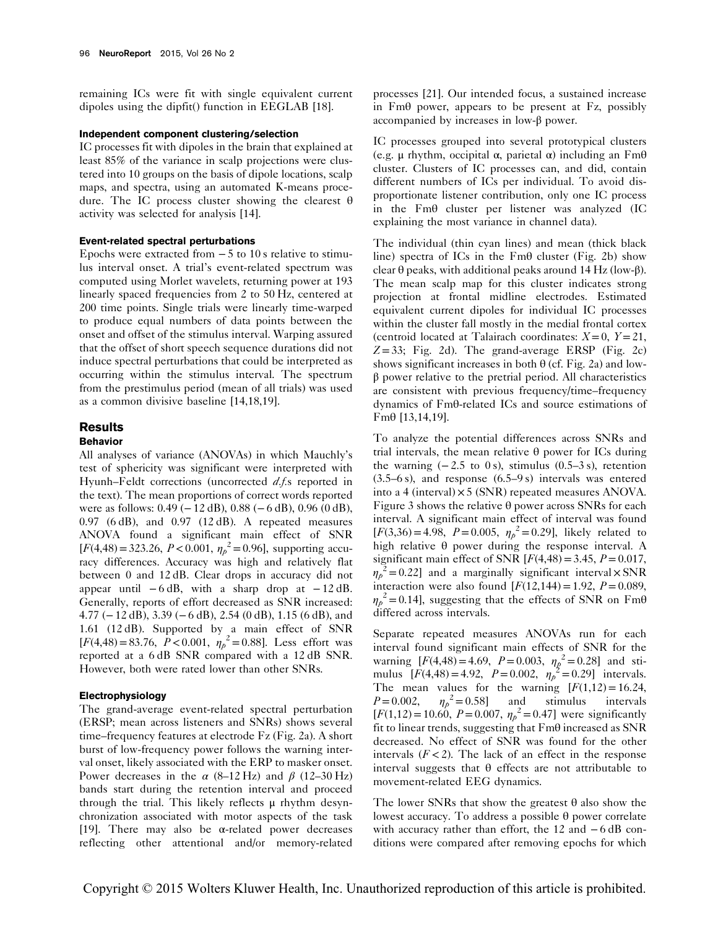remaining ICs were fit with single equivalent current dipoles using the dipfit() function in EEGLAB [18].

## Independent component clustering/selection

IC processes fit with dipoles in the brain that explained at least 85% of the variance in scalp projections were clustered into 10 groups on the basis of dipole locations, scalp maps, and spectra, using an automated K-means procedure. The IC process cluster showing the clearest θ activity was selected for analysis [14].

#### Event-related spectral perturbations

Epochs were extracted from  $-5$  to 10 s relative to stimulus interval onset. A trial's event-related spectrum was computed using Morlet wavelets, returning power at 193 linearly spaced frequencies from 2 to 50 Hz, centered at 200 time points. Single trials were linearly time-warped to produce equal numbers of data points between the onset and offset of the stimulus interval. Warping assured that the offset of short speech sequence durations did not induce spectral perturbations that could be interpreted as occurring within the stimulus interval. The spectrum from the prestimulus period (mean of all trials) was used as a common divisive baseline [14,18,19].

#### **Results**

#### Behavior

All analyses of variance (ANOVAs) in which Mauchly's test of sphericity was significant were interpreted with Hyunh–Feldt corrections (uncorrected d.f.s reported in the text). The mean proportions of correct words reported were as follows: 0.49 (−12 dB), 0.88 (−6 dB), 0.96 (0 dB),  $0.97$  (6 dB), and  $0.97$  (12 dB). A repeated measures ANOVA found a significant main effect of SNR  $[F(4,48) = 323.26, P < 0.001, \eta_p^2 = 0.96]$ , supporting accuracy differences. Accuracy was high and relatively flat between 0 and 12 dB. Clear drops in accuracy did not appear until  $-6$  dB, with a sharp drop at  $-12$  dB. Generally, reports of effort decreased as SNR increased: 4.77 (−12 dB), 3.39 (−6 dB), 2.54 (0 dB), 1.15 (6 dB), and 1.61 (12 dB). Supported by a main effect of SNR  $[F(4,48) = 83.76, P < 0.001, \eta_p^2 = 0.88]$ . Less effort was reported at a 6 dB SNR compared with a 12 dB SNR. However, both were rated lower than other SNRs.

# Electrophysiology

The grand-average event-related spectral perturbation (ERSP; mean across listeners and SNRs) shows several time–frequency features at electrode Fz (Fig. 2a). A short burst of low-frequency power follows the warning interval onset, likely associated with the ERP to masker onset. Power decreases in the  $\alpha$  (8–12 Hz) and  $\beta$  (12–30 Hz) bands start during the retention interval and proceed through the trial. This likely reflects μ rhythm desynchronization associated with motor aspects of the task [19]. There may also be  $\alpha$ -related power decreases reflecting other attentional and/or memory-related

processes [21]. Our intended focus, a sustained increase in Fmθ power, appears to be present at Fz, possibly accompanied by increases in low-β power.

IC processes grouped into several prototypical clusters (e.g. μ rhythm, occipital α, parietal α) including an Fmθ cluster. Clusters of IC processes can, and did, contain different numbers of ICs per individual. To avoid disproportionate listener contribution, only one IC process in the Fmθ cluster per listener was analyzed (IC explaining the most variance in channel data).

The individual (thin cyan lines) and mean (thick black line) spectra of ICs in the  $Fm\theta$  cluster (Fig. 2b) show clear θ peaks, with additional peaks around 14 Hz (low-β). The mean scalp map for this cluster indicates strong projection at frontal midline electrodes. Estimated equivalent current dipoles for individual IC processes within the cluster fall mostly in the medial frontal cortex (centroid located at Talairach coordinates:  $X=0$ ,  $Y=21$ ,  $Z = 33$ ; Fig. 2d). The grand-average ERSP (Fig. 2c) shows significant increases in both  $\theta$  (cf. Fig. 2a) and lowβ power relative to the pretrial period. All characteristics are consistent with previous frequency/time–frequency dynamics of Fmθ-related ICs and source estimations of Fmθ [13,14,19].

To analyze the potential differences across SNRs and trial intervals, the mean relative θ power for ICs during the warning  $(-2.5 \text{ to } 0 \text{ s})$ , stimulus  $(0.5-3 \text{ s})$ , retention (3.5–6 s), and response (6.5–9 s) intervals was entered into a 4 (interval)  $\times$  5 (SNR) repeated measures ANOVA. Figure 3 shows the relative θ power across SNRs for each interval. A significant main effect of interval was found  $[F(3,36) = 4.98, P = 0.005, \eta_{p}^{2} = 0.29]$ , likely related to high relative θ power during the response interval. A significant main effect of SNR  $[F(4,48) = 3.45, P = 0.017,$  $\eta_p^2$  = 0.22] and a marginally significant interval  $\times$  SNR interaction were also found  $[F(12,144) = 1.92, P = 0.089,$  $\eta_p^2 = 0.14$ , suggesting that the effects of SNR on Fm $\theta$ differed across intervals.

Separate repeated measures ANOVAs run for each interval found significant main effects of SNR for the warning  $[F(4,48) = 4.69, P = 0.003, \eta_p^2 = 0.28]$  and stimulus  $[F(4,48) = 4.92, P = 0.002, \eta_p^2 = 0.29]$  intervals. The mean values for the warning  $[F(1,12) = 16.24,$  $P = 0.002$ ,  $\eta_p^2 = 0.58$ ] and stimulus intervals  $[F(1,12) = 10.60, P = 0.007, \eta_p^2 = 0.47]$  were significantly fit to linear trends, suggesting that Fmθ increased as SNR decreased. No effect of SNR was found for the other intervals  $(F<2)$ . The lack of an effect in the response interval suggests that θ effects are not attributable to movement-related EEG dynamics.

The lower SNRs that show the greatest  $\theta$  also show the lowest accuracy. To address a possible θ power correlate with accuracy rather than effort, the 12 and −6 dB conditions were compared after removing epochs for which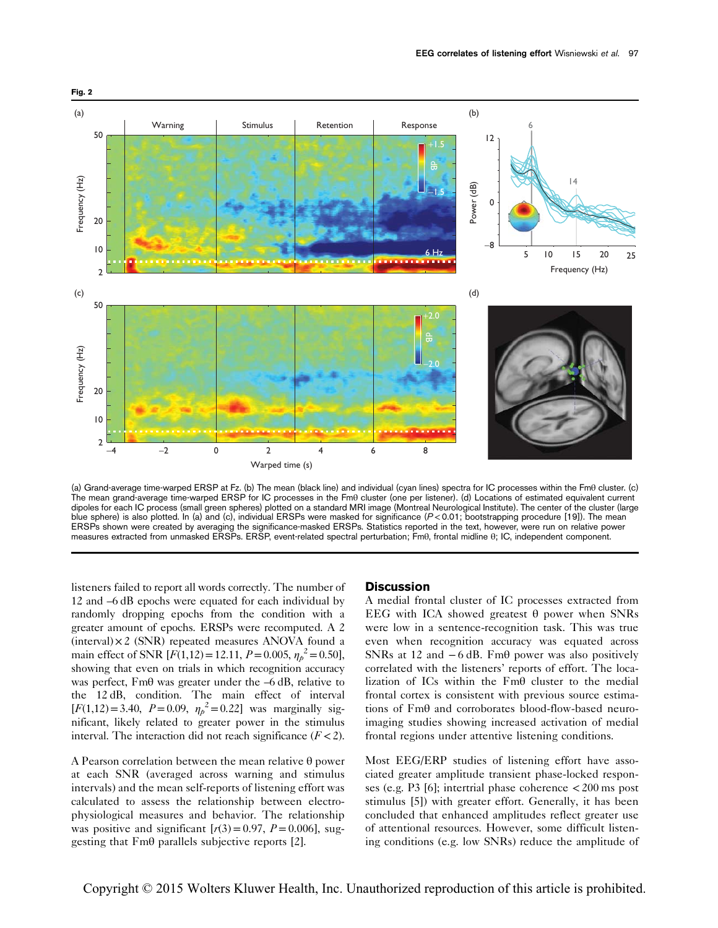

(a) Grand-average time-warped ERSP at Fz. (b) The mean (black line) and individual (cyan lines) spectra for IC processes within the Fmθ cluster. (c) The mean grand-average time-warped ERSP for IC processes in the Fmθ cluster (one per listener). (d) Locations of estimated equivalent current dipoles for each IC process (small green spheres) plotted on a standard MRI image (Montreal Neurological Institute). The center of the cluster (large blue sphere) is also plotted. In (a) and (c), individual ERSPs were masked for significance (P<0.01; bootstrapping procedure [19]). The mean ERSPs shown were created by averaging the significance-masked ERSPs. Statistics reported in the text, however, were run on relative power measures extracted from unmasked ERSPs. ERSP, event-related spectral perturbation; Fmθ, frontal midline θ; IC, independent component.

listeners failed to report all words correctly. The number of 12 and –6 dB epochs were equated for each individual by randomly dropping epochs from the condition with a greater amount of epochs. ERSPs were recomputed. A 2  $(interval) \times 2$  (SNR) repeated measures ANOVA found a main effect of SNR [ $F(1,12) = 12.11$ ,  $P = 0.005$ ,  $\eta_p^2 = 0.50$ ], showing that even on trials in which recognition accuracy was perfect, Fmθ was greater under the –6 dB, relative to the 12 dB, condition. The main effect of interval  $[F(1,12)=3.40, P=0.09, \eta_{p}^{2}=0.22]$  was marginally significant, likely related to greater power in the stimulus interval. The interaction did not reach significance  $(F < 2)$ .

A Pearson correlation between the mean relative θ power at each SNR (averaged across warning and stimulus intervals) and the mean self-reports of listening effort was calculated to assess the relationship between electrophysiological measures and behavior. The relationship was positive and significant  $[r(3) = 0.97, P = 0.006]$ , suggesting that Fmθ parallels subjective reports [2].

#### **Discussion**

A medial frontal cluster of IC processes extracted from EEG with ICA showed greatest θ power when SNRs were low in a sentence-recognition task. This was true even when recognition accuracy was equated across SNRs at 12 and  $-6$  dB. Fm $\theta$  power was also positively correlated with the listeners' reports of effort. The localization of ICs within the Fmθ cluster to the medial frontal cortex is consistent with previous source estimations of Fmθ and corroborates blood-flow-based neuroimaging studies showing increased activation of medial frontal regions under attentive listening conditions.

Most EEG/ERP studies of listening effort have associated greater amplitude transient phase-locked responses (e.g. P3 [6]; intertrial phase coherence  $\lt$  200 ms post stimulus [5]) with greater effort. Generally, it has been concluded that enhanced amplitudes reflect greater use of attentional resources. However, some difficult listening conditions (e.g. low SNRs) reduce the amplitude of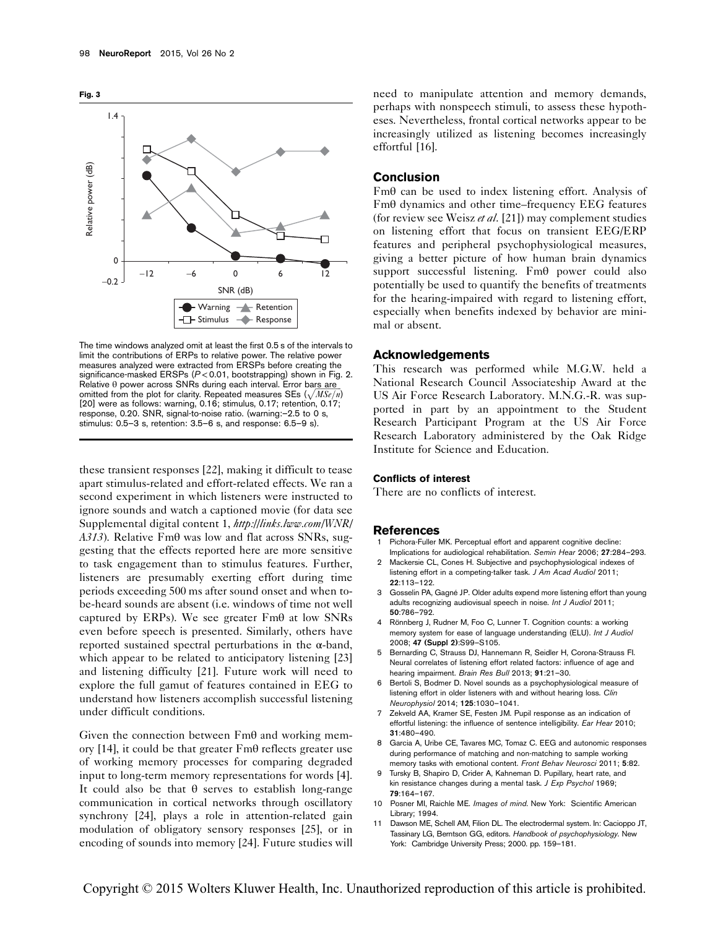

The time windows analyzed omit at least the first 0.5 s of the intervals to limit the contributions of ERPs to relative power. The relative power measures analyzed were extracted from ERSPs before creating the significance-masked ERSPs (P< 0.01, bootstrapping) shown in Fig. 2. Relative θ power across SNRs during each interval. Error bars are omitted from the plot for clarity. Repeated measures SEs  $(\sqrt{MSE/n})$ [20] were as follows: warning, 0.16; stimulus, 0.17; retention, 0.17; response, 0.20. SNR, signal-to-noise ratio. (warning:–2.5 to 0 s, stimulus: 0.5–3 s, retention: 3.5–6 s, and response: 6.5–9 s).

these transient responses [22], making it difficult to tease apart stimulus-related and effort-related effects. We ran a second experiment in which listeners were instructed to ignore sounds and watch a captioned movie (for data see Supplemental digital content 1, http://links.lww.com/WNR/ A313). Relative  $Fm\theta$  was low and flat across SNRs, suggesting that the effects reported here are more sensitive to task engagement than to stimulus features. Further, listeners are presumably exerting effort during time periods exceeding 500 ms after sound onset and when tobe-heard sounds are absent (i.e. windows of time not well captured by ERPs). We see greater  $Fm\theta$  at low SNRs even before speech is presented. Similarly, others have reported sustained spectral perturbations in the α-band, which appear to be related to anticipatory listening [23] and listening difficulty [21]. Future work will need to explore the full gamut of features contained in EEG to understand how listeners accomplish successful listening under difficult conditions.

Given the connection between Fmθ and working memory [14], it could be that greater Fmθ reflects greater use of working memory processes for comparing degraded input to long-term memory representations for words [4]. It could also be that  $\theta$  serves to establish long-range communication in cortical networks through oscillatory synchrony [24], plays a role in attention-related gain modulation of obligatory sensory responses [25], or in encoding of sounds into memory [24]. Future studies will need to manipulate attention and memory demands, perhaps with nonspeech stimuli, to assess these hypotheses. Nevertheless, frontal cortical networks appear to be increasingly utilized as listening becomes increasingly effortful [16].

# Conclusion

Fmθ can be used to index listening effort. Analysis of Fmθ dynamics and other time–frequency EEG features (for review see Weisz et al. [21]) may complement studies on listening effort that focus on transient EEG/ERP features and peripheral psychophysiological measures, giving a better picture of how human brain dynamics support successful listening. Fmθ power could also potentially be used to quantify the benefits of treatments for the hearing-impaired with regard to listening effort, especially when benefits indexed by behavior are minimal or absent.

## Acknowledgements

This research was performed while M.G.W. held a National Research Council Associateship Award at the US Air Force Research Laboratory. M.N.G.-R. was supported in part by an appointment to the Student Research Participant Program at the US Air Force Research Laboratory administered by the Oak Ridge Institute for Science and Education.

#### Conflicts of interest

There are no conflicts of interest.

#### References

- Pichora-Fuller MK. Perceptual effort and apparent cognitive decline: Implications for audiological rehabilitation. Semin Hear 2006; 27:284–293.
- 2 Mackersie CL, Cones H. Subjective and psychophysiological indexes of listening effort in a competing-talker task. J Am Acad Audiol 2011; 22:113–122.
- 3 Gosselin PA, Gagné JP. Older adults expend more listening effort than young adults recognizing audiovisual speech in noise. Int J Audiol 2011; 50:786–792.
- 4 Rönnberg J, Rudner M, Foo C, Lunner T. Cognition counts: a working memory system for ease of language understanding (ELU). Int J Audiol 2008; 47 (Suppl 2):S99–S105.
- 5 Bernarding C, Strauss DJ, Hannemann R, Seidler H, Corona-Strauss FI. Neural correlates of listening effort related factors: influence of age and hearing impairment. Brain Res Bull 2013; 91:21-30.
- 6 Bertoli S, Bodmer D. Novel sounds as a psychophysiological measure of listening effort in older listeners with and without hearing loss. Clin Neurophysiol 2014; 125:1030–1041.
- 7 Zekveld AA, Kramer SE, Festen JM. Pupil response as an indication of effortful listening: the influence of sentence intelligibility. Ear Hear 2010; 31:480–490.
- 8 Garcia A, Uribe CE, Tavares MC, Tomaz C. EEG and autonomic responses during performance of matching and non-matching to sample working memory tasks with emotional content. Front Behav Neurosci 2011; 5:82.
- 9 Tursky B, Shapiro D, Crider A, Kahneman D. Pupillary, heart rate, and kin resistance changes during a mental task. J Exp Psychol 1969; 79:164–167.
- 10 Posner MI, Raichle ME. Images of mind. New York: Scientific American Library; 1994.
- 11 Dawson ME, Schell AM, Filion DL. The electrodermal system. In: Cacioppo JT, Tassinary LG, Berntson GG, editors. Handbook of psychophysiology. New York: Cambridge University Press; 2000. pp. 159–181.